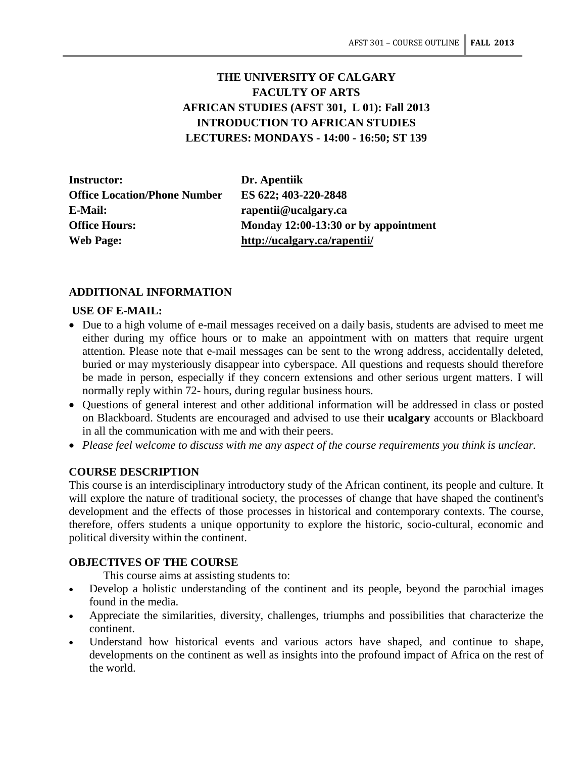# **THE UNIVERSITY OF CALGARY FACULTY OF ARTS AFRICAN STUDIES (AFST 301, L 01): Fall 2013 INTRODUCTION TO AFRICAN STUDIES LECTURES: MONDAYS - 14:00 - 16:50; ST 139**

**Instructor: Dr. Apentiik Office Location/Phone Number ES 622; 403-220-2848 E-Mail: rapentii@ucalgary.ca Web Page: http://ucalgary.ca/rapentii/**

**Office Hours: Monday 12:00-13:30 or by appointment**

# **ADDITIONAL INFORMATION**

### **USE OF E-MAIL:**

- Due to a high volume of e-mail messages received on a daily basis, students are advised to meet me either during my office hours or to make an appointment with on matters that require urgent attention. Please note that e-mail messages can be sent to the wrong address, accidentally deleted, buried or may mysteriously disappear into cyberspace. All questions and requests should therefore be made in person, especially if they concern extensions and other serious urgent matters. I will normally reply within 72- hours, during regular business hours.
- Questions of general interest and other additional information will be addressed in class or posted on Blackboard. Students are encouraged and advised to use their **ucalgary** accounts or Blackboard in all the communication with me and with their peers.
- *Please feel welcome to discuss with me any aspect of the course requirements you think is unclear.*

### **COURSE DESCRIPTION**

This course is an interdisciplinary introductory study of the African continent, its people and culture. It will explore the nature of traditional society, the processes of change that have shaped the continent's development and the effects of those processes in historical and contemporary contexts. The course, therefore, offers students a unique opportunity to explore the historic, socio-cultural, economic and political diversity within the continent.

### **OBJECTIVES OF THE COURSE**

This course aims at assisting students to:

- Develop a holistic understanding of the continent and its people, beyond the parochial images found in the media.
- Appreciate the similarities, diversity, challenges, triumphs and possibilities that characterize the continent.
- Understand how historical events and various actors have shaped, and continue to shape, developments on the continent as well as insights into the profound impact of Africa on the rest of the world.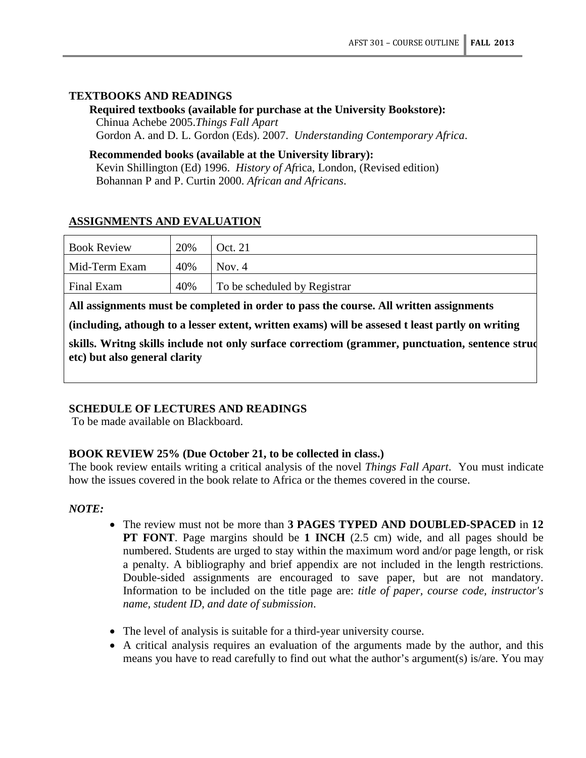# **TEXTBOOKS AND READINGS**

**Required textbooks (available for purchase at the University Bookstore):**  Chinua Achebe 2005.*Things Fall Apart* Gordon A. and D. L. Gordon (Eds). 2007. *Understanding Contemporary Africa*.

### **Recommended books (available at the University library):**

Kevin Shillington (Ed) 1996. *History of Af*rica, London, (Revised edition) Bohannan P and P. Curtin 2000. *African and Africans*.

# **ASSIGNMENTS AND EVALUATION**

| <b>Book Review</b> | 20% | Oct. 21                      |
|--------------------|-----|------------------------------|
| Mid-Term Exam      | 40% | Nov. $4$                     |
| Final Exam         | 40% | To be scheduled by Registrar |

**All assignments must be completed in order to pass the course. All written assignments** 

**(including, athough to a lesser extent, written exams) will be assesed t least partly on writing** 

**skills. Writng skills include not only surface correctiom (grammer, punctuation, sentence struc etc) but also general clarity**

# **SCHEDULE OF LECTURES AND READINGS**

To be made available on Blackboard.

### **BOOK REVIEW 25% (Due October 21, to be collected in class.)**

The book review entails writing a critical analysis of the novel *Things Fall Apart*. You must indicate how the issues covered in the book relate to Africa or the themes covered in the course.

### *NOTE:*

- The review must not be more than **3 PAGES TYPED AND DOUBLED-SPACED** in **12 PT FONT**. Page margins should be **1 INCH** (2.5 cm) wide, and all pages should be numbered. Students are urged to stay within the maximum word and/or page length, or risk a penalty. A bibliography and brief appendix are not included in the length restrictions. Double-sided assignments are encouraged to save paper, but are not mandatory. Information to be included on the title page are: *title of paper, course code, instructor's name, student ID, and date of submission*.
- The level of analysis is suitable for a third-year university course.
- A critical analysis requires an evaluation of the arguments made by the author, and this means you have to read carefully to find out what the author's argument(s) is/are. You may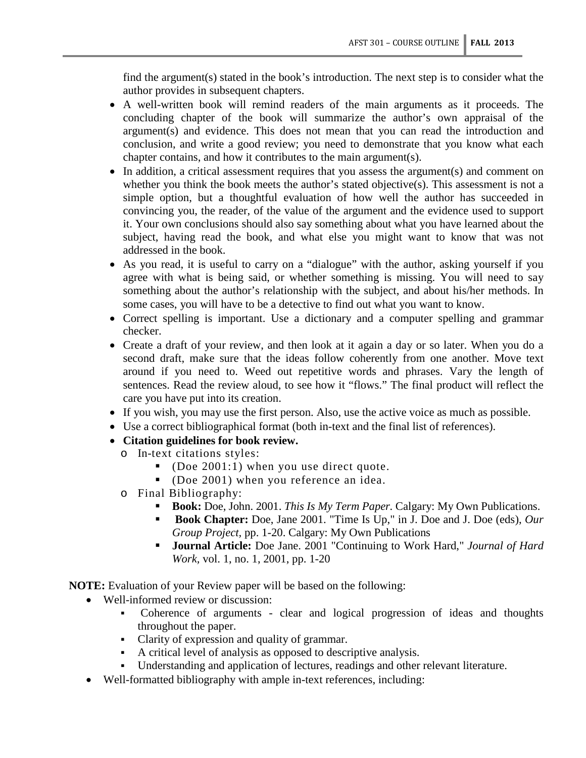find the argument(s) stated in the book's introduction. The next step is to consider what the author provides in subsequent chapters.

- A well-written book will remind readers of the main arguments as it proceeds. The concluding chapter of the book will summarize the author's own appraisal of the argument(s) and evidence. This does not mean that you can read the introduction and conclusion, and write a good review; you need to demonstrate that you know what each chapter contains, and how it contributes to the main argument(s).
- In addition, a critical assessment requires that you assess the argument(s) and comment on whether you think the book meets the author's stated objective(s). This assessment is not a simple option, but a thoughtful evaluation of how well the author has succeeded in convincing you, the reader, of the value of the argument and the evidence used to support it. Your own conclusions should also say something about what you have learned about the subject, having read the book, and what else you might want to know that was not addressed in the book.
- As you read, it is useful to carry on a "dialogue" with the author, asking yourself if you agree with what is being said, or whether something is missing. You will need to say something about the author's relationship with the subject, and about his/her methods. In some cases, you will have to be a detective to find out what you want to know.
- Correct spelling is important. Use a dictionary and a computer spelling and grammar checker.
- Create a draft of your review, and then look at it again a day or so later. When you do a second draft, make sure that the ideas follow coherently from one another. Move text around if you need to. Weed out repetitive words and phrases. Vary the length of sentences. Read the review aloud, to see how it "flows." The final product will reflect the care you have put into its creation.
- If you wish, you may use the first person. Also, use the active voice as much as possible.
- Use a correct bibliographical format (both in-text and the final list of references).
- **Citation guidelines for book review.**
	- o In-text citations styles:
		- (Doe 2001:1) when you use direct quote.
		- (Doe 2001) when you reference an idea.
	- o Final Bibliography:
		- **Book:** Doe, John. 2001. *This Is My Term Paper*. Calgary: My Own Publications.
		- **Book Chapter:** Doe, Jane 2001. "Time Is Up," in J. Doe and J. Doe (eds), *Our Group Project,* pp. 1-20. Calgary: My Own Publications
		- **Journal Article:** Doe Jane. 2001 "Continuing to Work Hard," *Journal of Hard Work,* vol. 1, no. 1, 2001, pp. 1-20

**NOTE:** Evaluation of your Review paper will be based on the following:

- Well-informed review or discussion:
	- Coherence of arguments clear and logical progression of ideas and thoughts throughout the paper.
	- Clarity of expression and quality of grammar.
	- A critical level of analysis as opposed to descriptive analysis.
	- Understanding and application of lectures, readings and other relevant literature.
- Well-formatted bibliography with ample in-text references, including: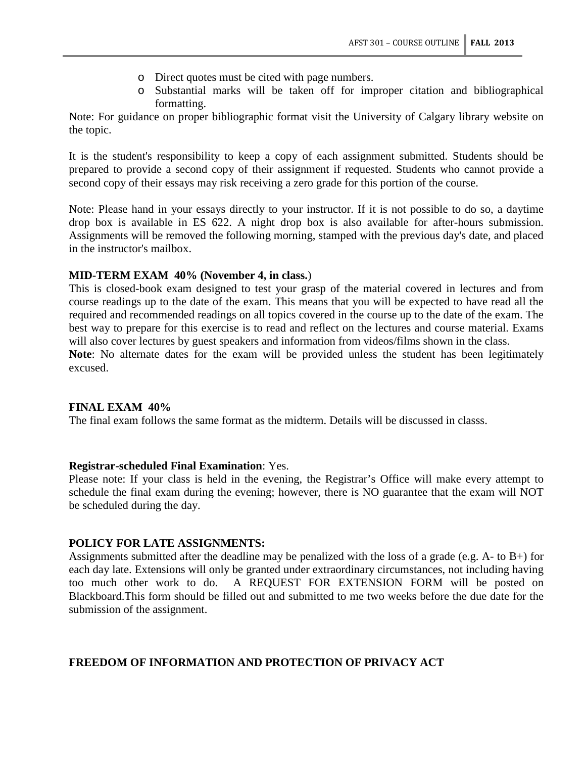- o Direct quotes must be cited with page numbers.
- o Substantial marks will be taken off for improper citation and bibliographical formatting.

Note: For guidance on proper bibliographic format visit the University of Calgary library website on the topic.

It is the student's responsibility to keep a copy of each assignment submitted. Students should be prepared to provide a second copy of their assignment if requested. Students who cannot provide a second copy of their essays may risk receiving a zero grade for this portion of the course.

Note: Please hand in your essays directly to your instructor. If it is not possible to do so, a daytime drop box is available in ES 622. A night drop box is also available for after-hours submission. Assignments will be removed the following morning, stamped with the previous day's date, and placed in the instructor's mailbox.

### **MID-TERM EXAM 40% (November 4, in class.**)

This is closed-book exam designed to test your grasp of the material covered in lectures and from course readings up to the date of the exam. This means that you will be expected to have read all the required and recommended readings on all topics covered in the course up to the date of the exam. The best way to prepare for this exercise is to read and reflect on the lectures and course material. Exams will also cover lectures by guest speakers and information from videos/films shown in the class.

**Note**: No alternate dates for the exam will be provided unless the student has been legitimately excused.

#### **FINAL EXAM 40%**

The final exam follows the same format as the midterm. Details will be discussed in classs.

#### **Registrar-scheduled Final Examination**: Yes.

Please note: If your class is held in the evening, the Registrar's Office will make every attempt to schedule the final exam during the evening; however, there is NO guarantee that the exam will NOT be scheduled during the day.

#### **POLICY FOR LATE ASSIGNMENTS:**

Assignments submitted after the deadline may be penalized with the loss of a grade (e.g. A- to B+) for each day late. Extensions will only be granted under extraordinary circumstances, not including having too much other work to do. A REQUEST FOR EXTENSION FORM will be posted on Blackboard.This form should be filled out and submitted to me two weeks before the due date for the submission of the assignment.

### **FREEDOM OF INFORMATION AND PROTECTION OF PRIVACY ACT**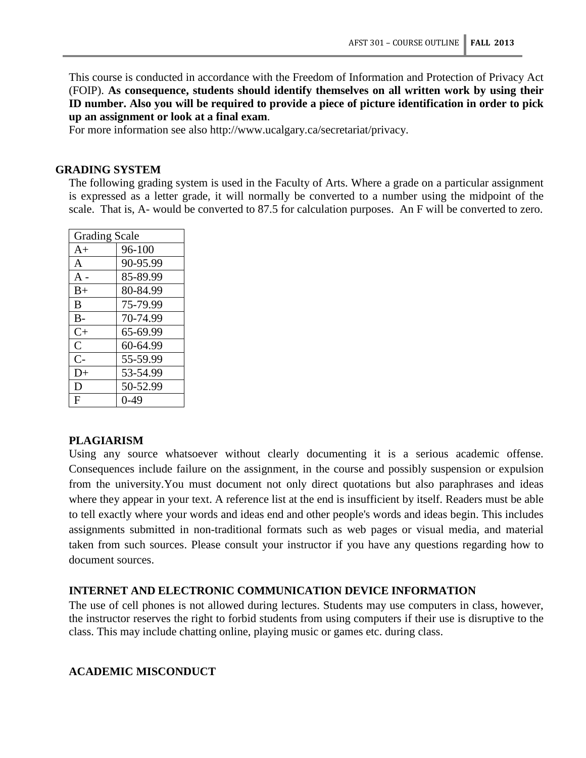This course is conducted in accordance with the Freedom of Information and Protection of Privacy Act (FOIP). **As consequence, students should identify themselves on all written work by using their ID number. Also you will be required to provide a piece of picture identification in order to pick up an assignment or look at a final exam**.

For more information see also http://www.ucalgary.ca/secretariat/privacy.

### **GRADING SYSTEM**

The following grading system is used in the Faculty of Arts. Where a grade on a particular assignment is expressed as a letter grade, it will normally be converted to a number using the midpoint of the scale. That is, A- would be converted to 87.5 for calculation purposes. An F will be converted to zero.

| <b>Grading Scale</b> |          |  |  |
|----------------------|----------|--|--|
| $A+$                 | 96-100   |  |  |
| A                    | 90-95.99 |  |  |
| $A -$                | 85-89.99 |  |  |
| $B+$                 | 80-84.99 |  |  |
| B                    | 75-79.99 |  |  |
| $B -$                | 70-74.99 |  |  |
| $C+$                 | 65-69.99 |  |  |
| $\mathcal{C}$        | 60-64.99 |  |  |
| $C-$                 | 55-59.99 |  |  |
| D+                   | 53-54.99 |  |  |
| D                    | 50-52.99 |  |  |
| F                    | 0-49     |  |  |

#### **PLAGIARISM**

Using any source whatsoever without clearly documenting it is a serious academic offense. Consequences include failure on the assignment, in the course and possibly suspension or expulsion from the university.You must document not only direct quotations but also paraphrases and ideas where they appear in your text. A reference list at the end is insufficient by itself. Readers must be able to tell exactly where your words and ideas end and other people's words and ideas begin. This includes assignments submitted in non-traditional formats such as web pages or visual media, and material taken from such sources. Please consult your instructor if you have any questions regarding how to document sources.

# **INTERNET AND ELECTRONIC COMMUNICATION DEVICE INFORMATION**

The use of cell phones is not allowed during lectures. Students may use computers in class, however, the instructor reserves the right to forbid students from using computers if their use is disruptive to the class. This may include chatting online, playing music or games etc. during class.

# **ACADEMIC MISCONDUCT**